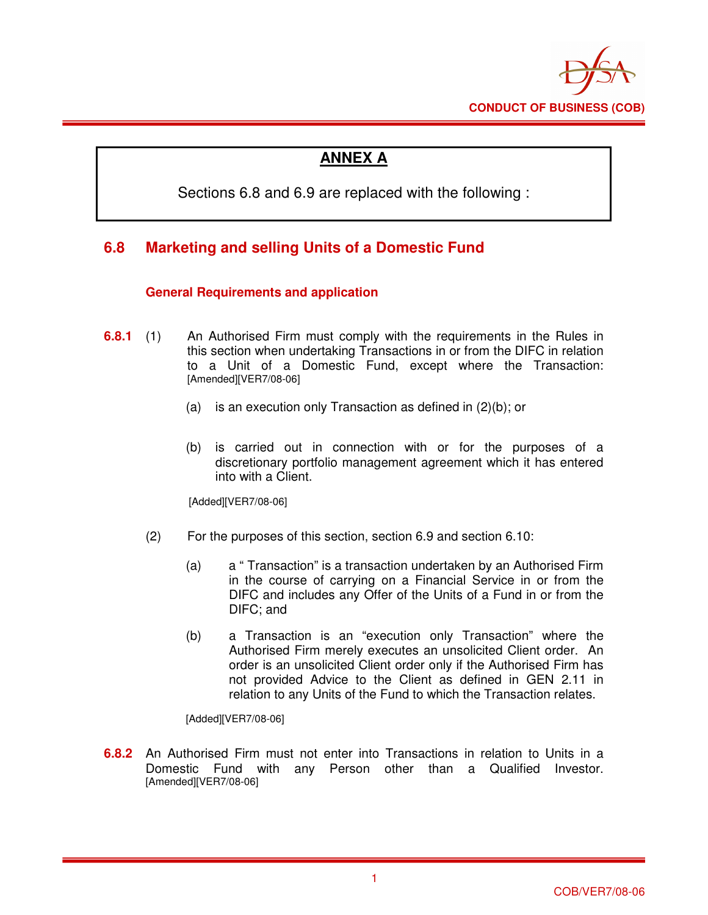

# **ANNEX A**

Sections 6.8 and 6.9 are replaced with the following :

# **6.8 Marketing and selling Units of a Domestic Fund**

## **General Requirements and application**

- **6.8.1** (1) An Authorised Firm must comply with the requirements in the Rules in this section when undertaking Transactions in or from the DIFC in relation to a Unit of a Domestic Fund, except where the Transaction: [Amended][VER7/08-06]
	- (a) is an execution only Transaction as defined in (2)(b); or
	- (b) is carried out in connection with or for the purposes of a discretionary portfolio management agreement which it has entered into with a Client.

[Added][VER7/08-06]

- (2) For the purposes of this section, section 6.9 and section 6.10:
	- (a) a " Transaction" is a transaction undertaken by an Authorised Firm in the course of carrying on a Financial Service in or from the DIFC and includes any Offer of the Units of a Fund in or from the DIFC; and
	- (b) a Transaction is an "execution only Transaction" where the Authorised Firm merely executes an unsolicited Client order. An order is an unsolicited Client order only if the Authorised Firm has not provided Advice to the Client as defined in GEN 2.11 in relation to any Units of the Fund to which the Transaction relates.

[Added][VER7/08-06]

**6.8.2** An Authorised Firm must not enter into Transactions in relation to Units in a Domestic Fund with any Person other than a Qualified Investor. [Amended][VER7/08-06]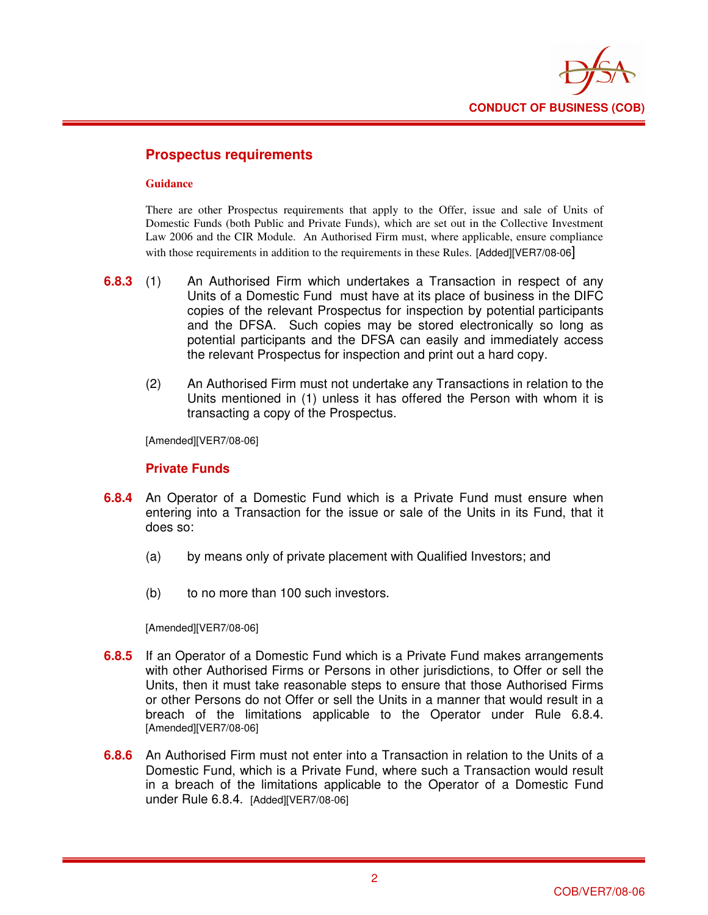

## **Prospectus requirements**

#### **Guidance**

There are other Prospectus requirements that apply to the Offer, issue and sale of Units of Domestic Funds (both Public and Private Funds), which are set out in the Collective Investment Law 2006 and the CIR Module. An Authorised Firm must, where applicable, ensure compliance with those requirements in addition to the requirements in these Rules. [Added][VER7/08-06]

- **6.8.3** (1) An Authorised Firm which undertakes a Transaction in respect of any Units of a Domestic Fund must have at its place of business in the DIFC copies of the relevant Prospectus for inspection by potential participants and the DFSA. Such copies may be stored electronically so long as potential participants and the DFSA can easily and immediately access the relevant Prospectus for inspection and print out a hard copy.
	- (2) An Authorised Firm must not undertake any Transactions in relation to the Units mentioned in (1) unless it has offered the Person with whom it is transacting a copy of the Prospectus.

[Amended][VER7/08-06]

#### **Private Funds**

- **6.8.4** An Operator of a Domestic Fund which is a Private Fund must ensure when entering into a Transaction for the issue or sale of the Units in its Fund, that it does so:
	- (a) by means only of private placement with Qualified Investors; and
	- (b) to no more than 100 such investors.

[Amended][VER7/08-06]

- **6.8.5** If an Operator of a Domestic Fund which is a Private Fund makes arrangements with other Authorised Firms or Persons in other jurisdictions, to Offer or sell the Units, then it must take reasonable steps to ensure that those Authorised Firms or other Persons do not Offer or sell the Units in a manner that would result in a breach of the limitations applicable to the Operator under Rule 6.8.4. [Amended][VER7/08-06]
- **6.8.6** An Authorised Firm must not enter into a Transaction in relation to the Units of a Domestic Fund, which is a Private Fund, where such a Transaction would result in a breach of the limitations applicable to the Operator of a Domestic Fund under Rule 6.8.4. [Added][VER7/08-06]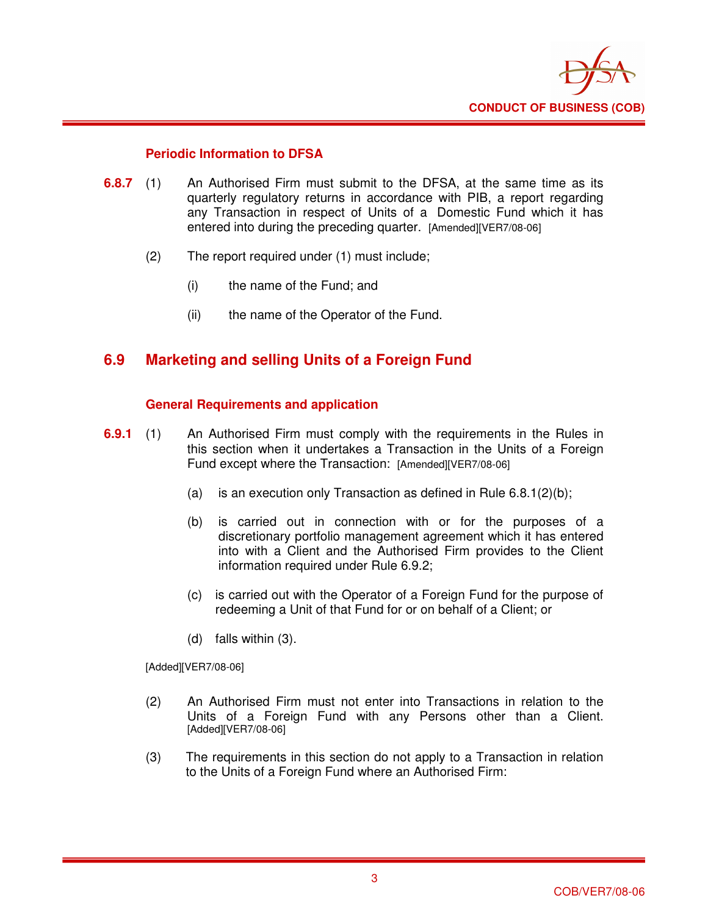

### **Periodic Information to DFSA**

- **6.8.7** (1) An Authorised Firm must submit to the DFSA, at the same time as its quarterly regulatory returns in accordance with PIB, a report regarding any Transaction in respect of Units of a Domestic Fund which it has entered into during the preceding quarter. [Amended][VER7/08-06]
	- (2) The report required under (1) must include;
		- (i) the name of the Fund; and
		- (ii) the name of the Operator of the Fund.

# **6.9 Marketing and selling Units of a Foreign Fund**

### **General Requirements and application**

- **6.9.1** (1) An Authorised Firm must comply with the requirements in the Rules in this section when it undertakes a Transaction in the Units of a Foreign Fund except where the Transaction: [Amended][VER7/08-06]
	- (a) is an execution only Transaction as defined in Rule  $6.8.1(2)(b)$ ;
	- (b) is carried out in connection with or for the purposes of a discretionary portfolio management agreement which it has entered into with a Client and the Authorised Firm provides to the Client information required under Rule 6.9.2;
	- (c) is carried out with the Operator of a Foreign Fund for the purpose of redeeming a Unit of that Fund for or on behalf of a Client; or
	- (d) falls within (3).

[Added][VER7/08-06]

- (2) An Authorised Firm must not enter into Transactions in relation to the Units of a Foreign Fund with any Persons other than a Client. [Added][VER7/08-06]
- (3) The requirements in this section do not apply to a Transaction in relation to the Units of a Foreign Fund where an Authorised Firm: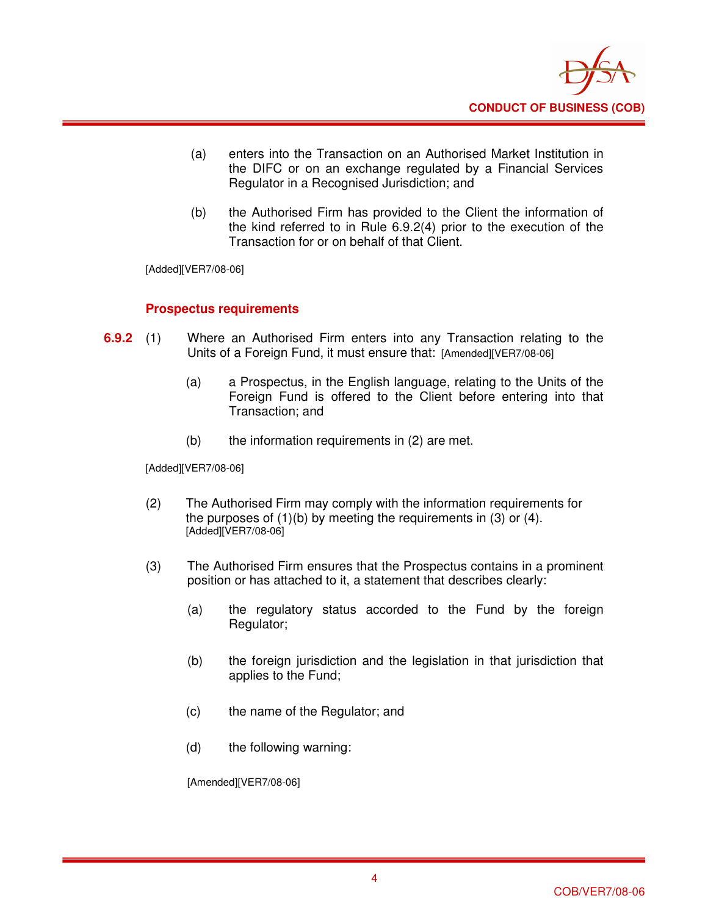

- (a) enters into the Transaction on an Authorised Market Institution in the DIFC or on an exchange regulated by a Financial Services Regulator in a Recognised Jurisdiction; and
- (b) the Authorised Firm has provided to the Client the information of the kind referred to in Rule 6.9.2(4) prior to the execution of the Transaction for or on behalf of that Client.

[Added][VER7/08-06]

### **Prospectus requirements**

- **6.9.2** (1) Where an Authorised Firm enters into any Transaction relating to the Units of a Foreign Fund, it must ensure that: [Amended][VER7/08-06]
	- (a) a Prospectus, in the English language, relating to the Units of the Foreign Fund is offered to the Client before entering into that Transaction; and
	- (b) the information requirements in (2) are met.

[Added][VER7/08-06]

- (2) The Authorised Firm may comply with the information requirements for the purposes of  $(1)(b)$  by meeting the requirements in  $(3)$  or  $(4)$ . [Added][VER7/08-06]
- (3) The Authorised Firm ensures that the Prospectus contains in a prominent position or has attached to it, a statement that describes clearly:
	- (a) the regulatory status accorded to the Fund by the foreign Regulator;
	- (b) the foreign jurisdiction and the legislation in that jurisdiction that applies to the Fund;
	- (c) the name of the Regulator; and
	- (d) the following warning:

[Amended][VER7/08-06]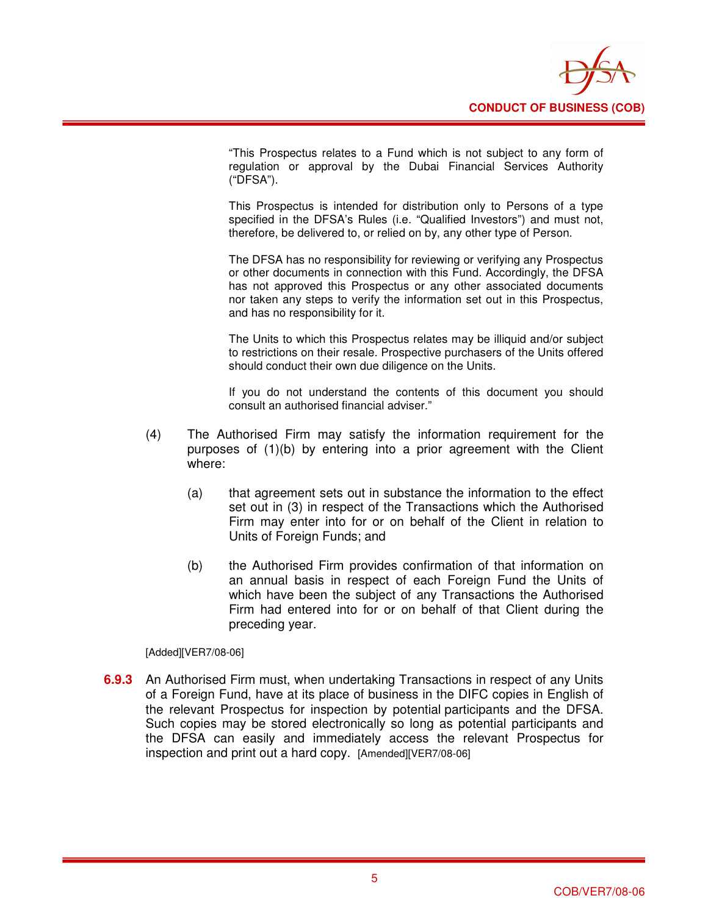

"This Prospectus relates to a Fund which is not subject to any form of regulation or approval by the Dubai Financial Services Authority ("DFSA").

This Prospectus is intended for distribution only to Persons of a type specified in the DFSA's Rules (i.e. "Qualified Investors") and must not, therefore, be delivered to, or relied on by, any other type of Person.

The DFSA has no responsibility for reviewing or verifying any Prospectus or other documents in connection with this Fund. Accordingly, the DFSA has not approved this Prospectus or any other associated documents nor taken any steps to verify the information set out in this Prospectus, and has no responsibility for it.

The Units to which this Prospectus relates may be illiquid and/or subject to restrictions on their resale. Prospective purchasers of the Units offered should conduct their own due diligence on the Units.

If you do not understand the contents of this document you should consult an authorised financial adviser."

- (4) The Authorised Firm may satisfy the information requirement for the purposes of (1)(b) by entering into a prior agreement with the Client where:
	- (a) that agreement sets out in substance the information to the effect set out in (3) in respect of the Transactions which the Authorised Firm may enter into for or on behalf of the Client in relation to Units of Foreign Funds; and
	- (b) the Authorised Firm provides confirmation of that information on an annual basis in respect of each Foreign Fund the Units of which have been the subject of any Transactions the Authorised Firm had entered into for or on behalf of that Client during the preceding year.

[Added][VER7/08-06]

**6.9.3** An Authorised Firm must, when undertaking Transactions in respect of any Units of a Foreign Fund, have at its place of business in the DIFC copies in English of the relevant Prospectus for inspection by potential participants and the DFSA. Such copies may be stored electronically so long as potential participants and the DFSA can easily and immediately access the relevant Prospectus for inspection and print out a hard copy. [Amended][VER7/08-06]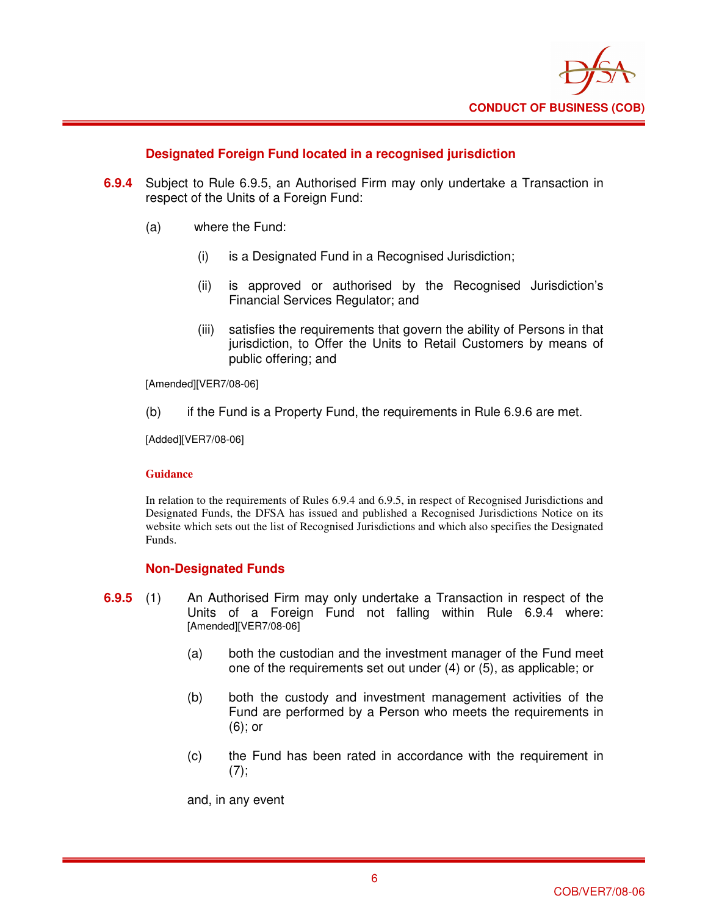

### **Designated Foreign Fund located in a recognised jurisdiction**

- **6.9.4** Subject to Rule 6.9.5, an Authorised Firm may only undertake a Transaction in respect of the Units of a Foreign Fund:
	- (a) where the Fund:
		- (i) is a Designated Fund in a Recognised Jurisdiction;
		- (ii) is approved or authorised by the Recognised Jurisdiction's Financial Services Regulator; and
		- (iii) satisfies the requirements that govern the ability of Persons in that jurisdiction, to Offer the Units to Retail Customers by means of public offering; and

[Amended][VER7/08-06]

(b) if the Fund is a Property Fund, the requirements in Rule 6.9.6 are met.

[Added][VER7/08-06]

#### **Guidance**

In relation to the requirements of Rules 6.9.4 and 6.9.5, in respect of Recognised Jurisdictions and Designated Funds, the DFSA has issued and published a Recognised Jurisdictions Notice on its website which sets out the list of Recognised Jurisdictions and which also specifies the Designated Funds.

#### **Non-Designated Funds**

- **6.9.5** (1) An Authorised Firm may only undertake a Transaction in respect of the Units of a Foreign Fund not falling within Rule 6.9.4 where: [Amended][VER7/08-06]
	- (a) both the custodian and the investment manager of the Fund meet one of the requirements set out under (4) or (5), as applicable; or
	- (b) both the custody and investment management activities of the Fund are performed by a Person who meets the requirements in (6); or
	- (c) the Fund has been rated in accordance with the requirement in  $(7)$ ;

and, in any event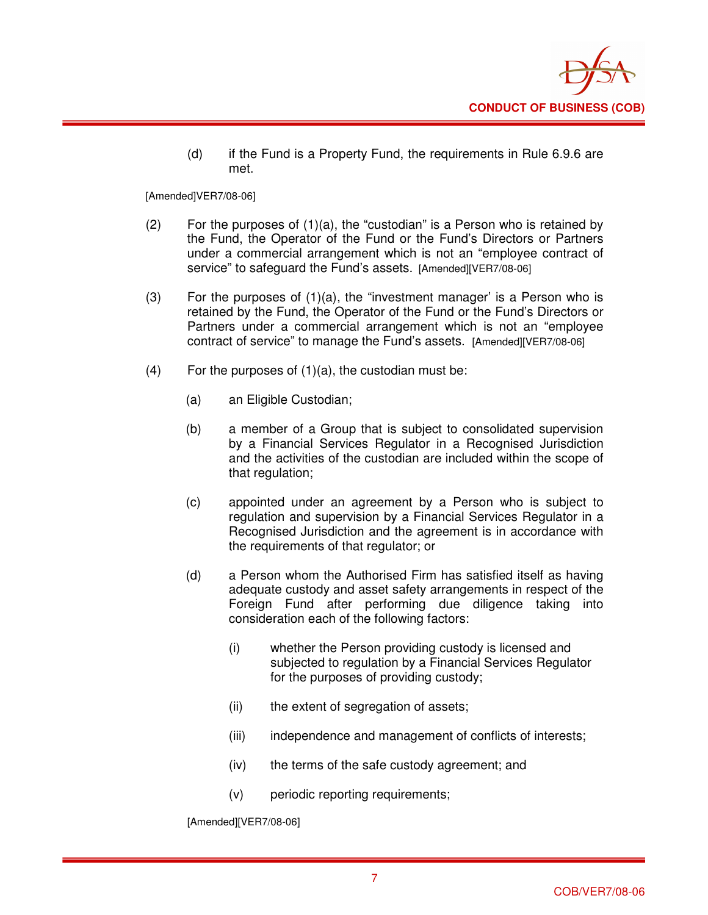

(d) if the Fund is a Property Fund, the requirements in Rule 6.9.6 are met.

[Amended]VER7/08-06]

- (2) For the purposes of  $(1)(a)$ , the "custodian" is a Person who is retained by the Fund, the Operator of the Fund or the Fund's Directors or Partners under a commercial arrangement which is not an "employee contract of service" to safeguard the Fund's assets. [Amended][VER7/08-06]
- (3) For the purposes of  $(1)(a)$ , the "investment manager' is a Person who is retained by the Fund, the Operator of the Fund or the Fund's Directors or Partners under a commercial arrangement which is not an "employee contract of service" to manage the Fund's assets. [Amended][VER7/08-06]
- $(4)$  For the purposes of  $(1)(a)$ , the custodian must be:
	- (a) an Eligible Custodian;
	- (b) a member of a Group that is subject to consolidated supervision by a Financial Services Regulator in a Recognised Jurisdiction and the activities of the custodian are included within the scope of that regulation;
	- (c) appointed under an agreement by a Person who is subject to regulation and supervision by a Financial Services Regulator in a Recognised Jurisdiction and the agreement is in accordance with the requirements of that regulator; or
	- (d) a Person whom the Authorised Firm has satisfied itself as having adequate custody and asset safety arrangements in respect of the Foreign Fund after performing due diligence taking into consideration each of the following factors:
		- (i) whether the Person providing custody is licensed and subjected to regulation by a Financial Services Regulator for the purposes of providing custody;
		- (ii) the extent of segregation of assets;
		- (iii) independence and management of conflicts of interests;
		- (iv) the terms of the safe custody agreement; and
		- (v) periodic reporting requirements;

[Amended][VER7/08-06]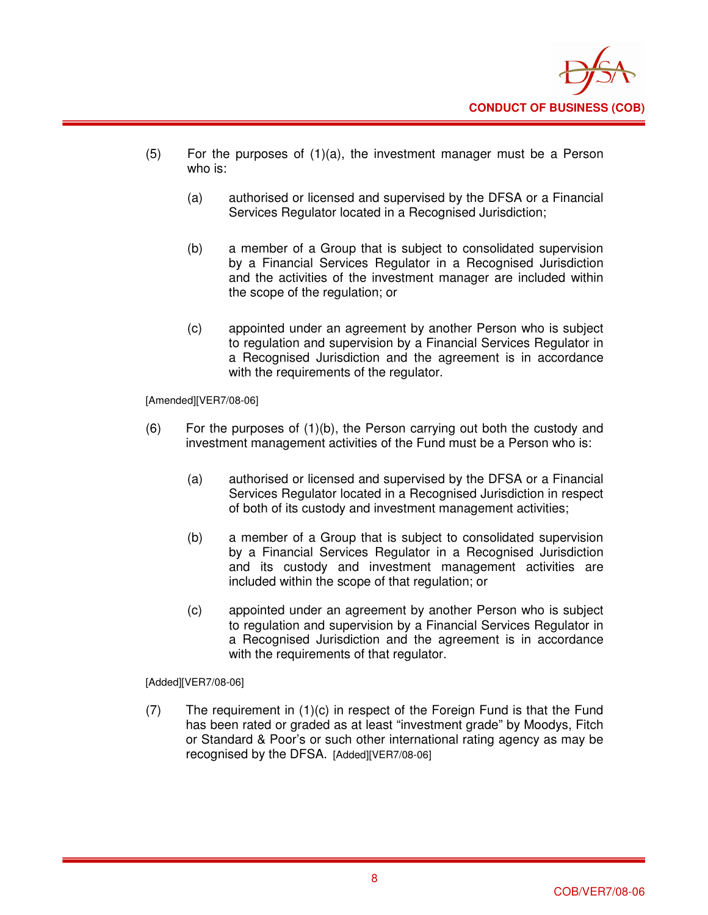

- (5) For the purposes of (1)(a), the investment manager must be a Person who is:
	- (a) authorised or licensed and supervised by the DFSA or a Financial Services Regulator located in a Recognised Jurisdiction;
	- (b) a member of a Group that is subject to consolidated supervision by a Financial Services Regulator in a Recognised Jurisdiction and the activities of the investment manager are included within the scope of the regulation; or
	- (c) appointed under an agreement by another Person who is subject to regulation and supervision by a Financial Services Regulator in a Recognised Jurisdiction and the agreement is in accordance with the requirements of the regulator.

[Amended][VER7/08-06]

- $(6)$  For the purposes of  $(1)(b)$ , the Person carrying out both the custody and investment management activities of the Fund must be a Person who is:
	- (a) authorised or licensed and supervised by the DFSA or a Financial Services Regulator located in a Recognised Jurisdiction in respect of both of its custody and investment management activities;
	- (b) a member of a Group that is subject to consolidated supervision by a Financial Services Regulator in a Recognised Jurisdiction and its custody and investment management activities are included within the scope of that regulation; or
	- (c) appointed under an agreement by another Person who is subject to regulation and supervision by a Financial Services Regulator in a Recognised Jurisdiction and the agreement is in accordance with the requirements of that regulator.

[Added][VER7/08-06]

(7) The requirement in (1)(c) in respect of the Foreign Fund is that the Fund has been rated or graded as at least "investment grade" by Moodys, Fitch or Standard & Poor's or such other international rating agency as may be recognised by the DFSA. [Added][VER7/08-06]